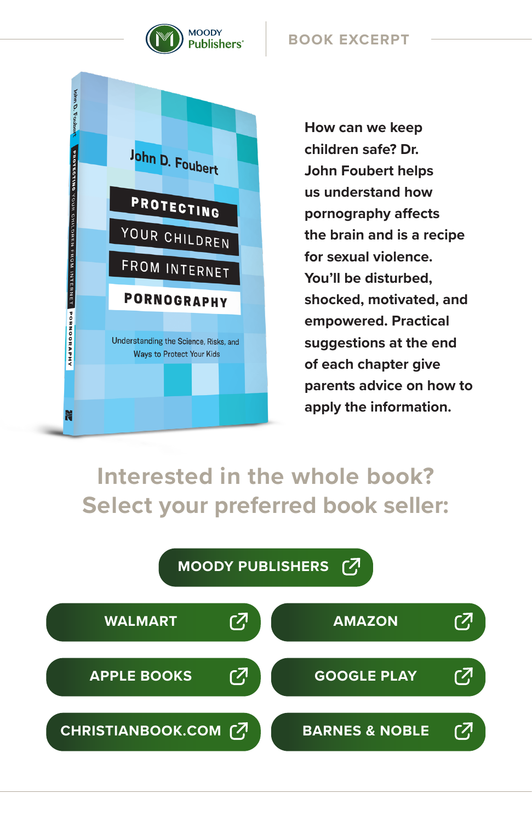

#### **BOOK EXCERPT**



**How can we keep children safe? Dr. John Foubert helps us understand how pornography affects the brain and is a recipe for sexual violence. You'll be disturbed, shocked, motivated, and empowered. Practical suggestions at the end of each chapter give parents advice on how to apply the information.**

### **Interested in the whole book? Select your preferred book seller:**

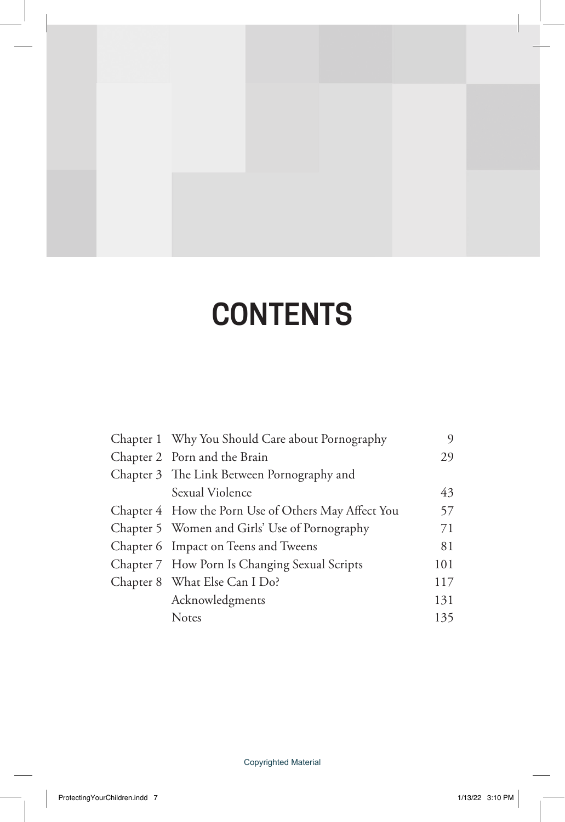# **CONTENTS**

|  | Chapter 1 Why You Should Care about Pornography     | 9   |
|--|-----------------------------------------------------|-----|
|  | Chapter 2 Porn and the Brain                        | 29  |
|  | Chapter 3 The Link Between Pornography and          |     |
|  | Sexual Violence                                     | 43  |
|  | Chapter 4 How the Porn Use of Others May Affect You | 57  |
|  | Chapter 5 Women and Girls' Use of Pornography       | 71  |
|  | Chapter 6 Impact on Teens and Tweens                | 81  |
|  | Chapter 7 How Porn Is Changing Sexual Scripts       | 101 |
|  | Chapter 8 What Else Can I Do?                       | 117 |
|  | Acknowledgments                                     | 131 |
|  | <b>Notes</b>                                        | 135 |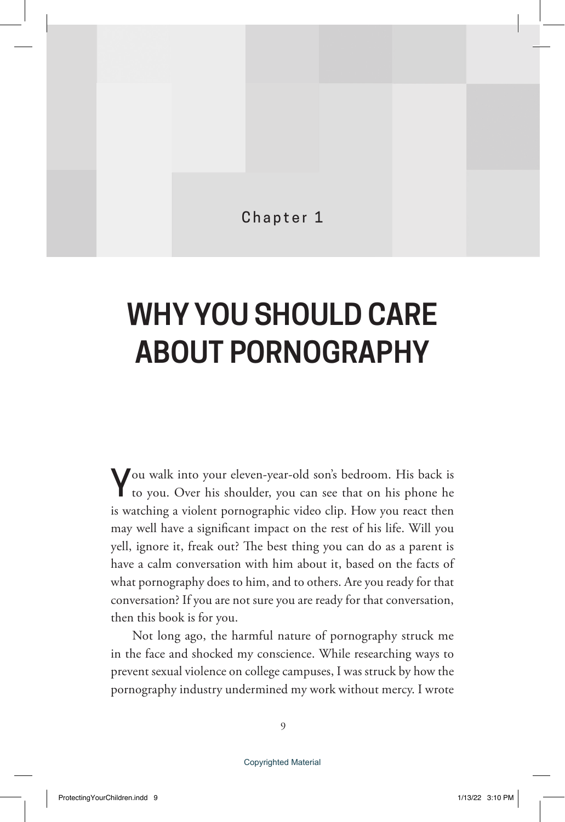Chapter 1

## **WHY YOU SHOULD CARE ABOUT PORNOGRAPHY**

You walk into your eleven-year-old son's bedroom. His back is to you. Over his shoulder, you can see that on his phone he is watching a violent pornographic video clip. How you react then may well have a significant impact on the rest of his life. Will you yell, ignore it, freak out? The best thing you can do as a parent is have a calm conversation with him about it, based on the facts of what pornography does to him, and to others. Are you ready for that conversation? If you are not sure you are ready for that conversation, then this book is for you.

Not long ago, the harmful nature of pornography struck me in the face and shocked my conscience. While researching ways to prevent sexual violence on college campuses, I was struck by how the pornography industry undermined my work without mercy. I wrote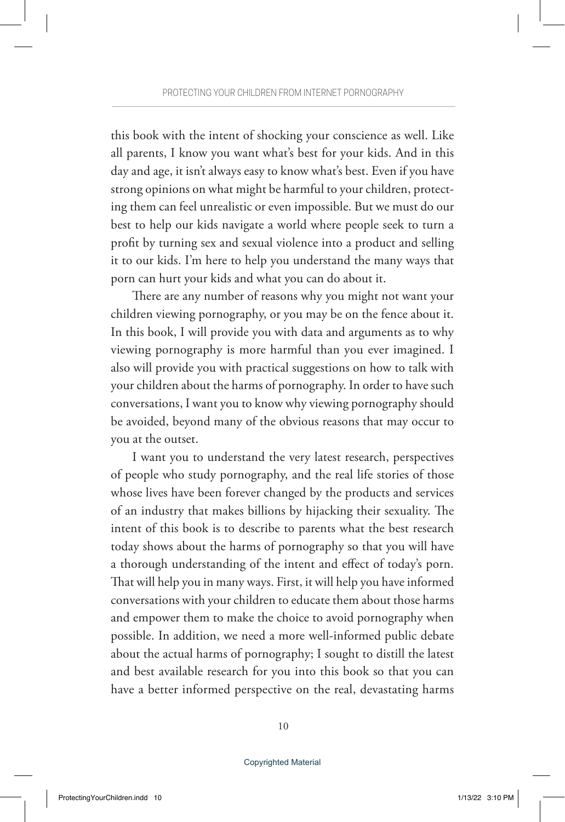this book with the intent of shocking your conscience as well. Like all parents, I know you want what's best for your kids. And in this day and age, it isn't always easy to know what's best. Even if you have strong opinions on what might be harmful to your children, protecting them can feel unrealistic or even impossible. But we must do our best to help our kids navigate a world where people seek to turn a profit by turning sex and sexual violence into a product and selling it to our kids. I'm here to help you understand the many ways that porn can hurt your kids and what you can do about it.

There are any number of reasons why you might not want your children viewing pornography, or you may be on the fence about it. In this book, I will provide you with data and arguments as to why viewing pornography is more harmful than you ever imagined. I also will provide you with practical suggestions on how to talk with your children about the harms of pornography. In order to have such conversations, I want you to know why viewing pornography should be avoided, beyond many of the obvious reasons that may occur to you at the outset.

I want you to understand the very latest research, perspectives of people who study pornography, and the real life stories of those whose lives have been forever changed by the products and services of an industry that makes billions by hijacking their sexuality. The intent of this book is to describe to parents what the best research today shows about the harms of pornography so that you will have a thorough understanding of the intent and effect of today's porn. That will help you in many ways. First, it will help you have informed conversations with your children to educate them about those harms and empower them to make the choice to avoid pornography when possible. In addition, we need a more well-informed public debate about the actual harms of pornography; I sought to distill the latest and best available research for you into this book so that you can have a better informed perspective on the real, devastating harms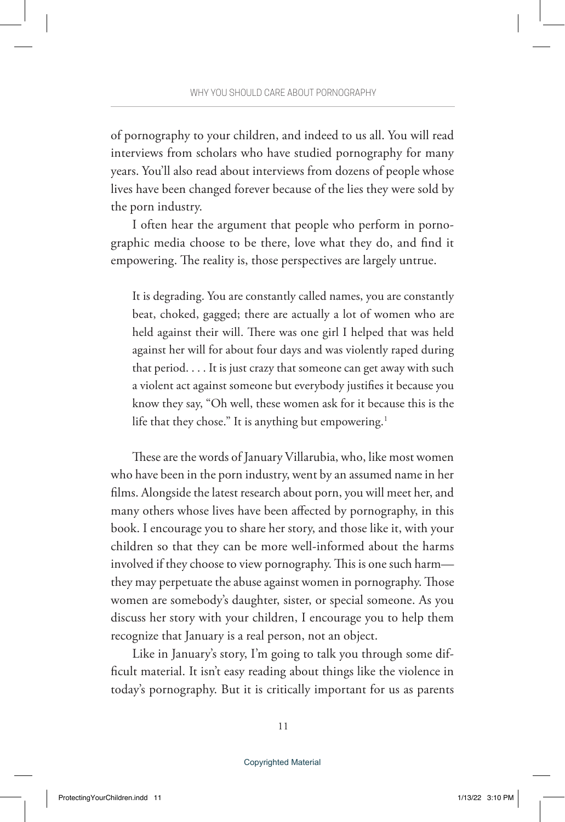of pornography to your children, and indeed to us all. You will read interviews from scholars who have studied pornography for many years. You'll also read about interviews from dozens of people whose lives have been changed forever because of the lies they were sold by the porn industry.

I often hear the argument that people who perform in pornographic media choose to be there, love what they do, and find it empowering. The reality is, those perspectives are largely untrue.

It is degrading. You are constantly called names, you are constantly beat, choked, gagged; there are actually a lot of women who are held against their will. There was one girl I helped that was held against her will for about four days and was violently raped during that period. . . . It is just crazy that someone can get away with such a violent act against someone but everybody justifies it because you know they say, "Oh well, these women ask for it because this is the life that they chose." It is anything but empowering.<sup>1</sup>

These are the words of January Villarubia, who, like most women who have been in the porn industry, went by an assumed name in her films. Alongside the latest research about porn, you will meet her, and many others whose lives have been affected by pornography, in this book. I encourage you to share her story, and those like it, with your children so that they can be more well-informed about the harms involved if they choose to view pornography. This is one such harm they may perpetuate the abuse against women in pornography. Those women are somebody's daughter, sister, or special someone. As you discuss her story with your children, I encourage you to help them recognize that January is a real person, not an object.

Like in January's story, I'm going to talk you through some difficult material. It isn't easy reading about things like the violence in today's pornography. But it is critically important for us as parents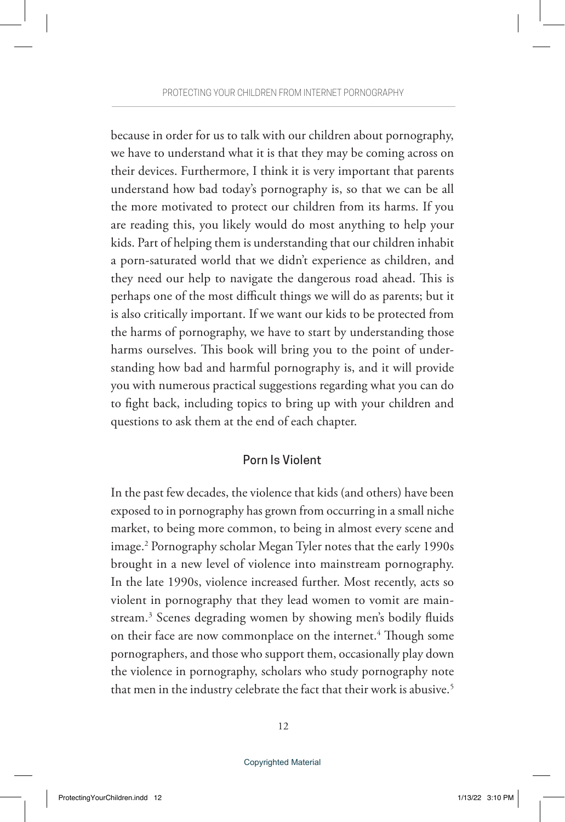because in order for us to talk with our children about pornography, we have to understand what it is that they may be coming across on their devices. Furthermore, I think it is very important that parents understand how bad today's pornography is, so that we can be all the more motivated to protect our children from its harms. If you are reading this, you likely would do most anything to help your kids. Part of helping them is understanding that our children inhabit a porn-saturated world that we didn't experience as children, and they need our help to navigate the dangerous road ahead. This is perhaps one of the most difficult things we will do as parents; but it is also critically important. If we want our kids to be protected from the harms of pornography, we have to start by understanding those harms ourselves. This book will bring you to the point of understanding how bad and harmful pornography is, and it will provide you with numerous practical suggestions regarding what you can do to fight back, including topics to bring up with your children and questions to ask them at the end of each chapter.

#### Porn Is Violent

In the past few decades, the violence that kids (and others) have been exposed to in pornography has grown from occurring in a small niche market, to being more common, to being in almost every scene and image.2 Pornography scholar Megan Tyler notes that the early 1990s brought in a new level of violence into mainstream pornography. In the late 1990s, violence increased further. Most recently, acts so violent in pornography that they lead women to vomit are mainstream.3 Scenes degrading women by showing men's bodily fluids on their face are now commonplace on the internet.<sup>4</sup> Though some pornographers, and those who support them, occasionally play down the violence in pornography, scholars who study pornography note that men in the industry celebrate the fact that their work is abusive.<sup>5</sup>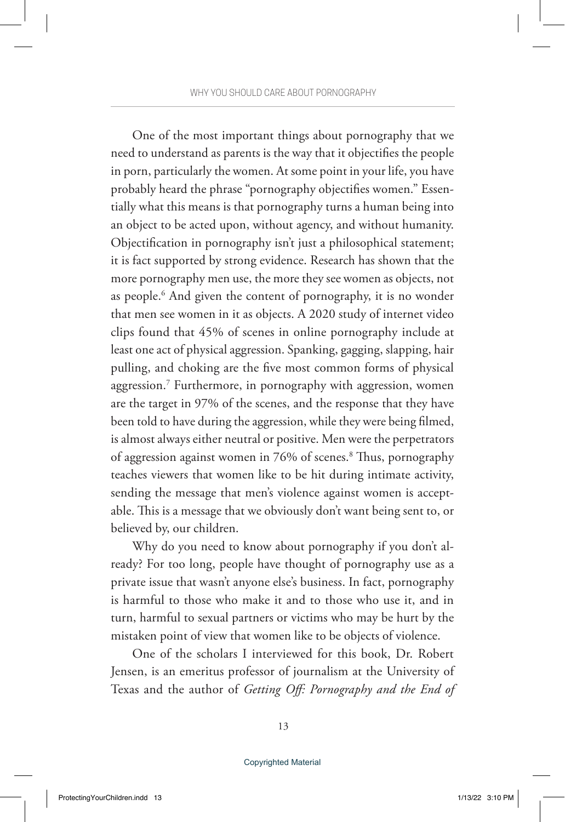One of the most important things about pornography that we need to understand as parents is the way that it objectifies the people in porn, particularly the women. At some point in your life, you have probably heard the phrase "pornography objectifies women." Essentially what this means is that pornography turns a human being into an object to be acted upon, without agency, and without humanity. Objectification in pornography isn't just a philosophical statement; it is fact supported by strong evidence. Research has shown that the more pornography men use, the more they see women as objects, not as people.6 And given the content of pornography, it is no wonder that men see women in it as objects. A 2020 study of internet video clips found that 45% of scenes in online pornography include at least one act of physical aggression. Spanking, gagging, slapping, hair pulling, and choking are the five most common forms of physical aggression.7 Furthermore, in pornography with aggression, women are the target in 97% of the scenes, and the response that they have been told to have during the aggression, while they were being filmed, is almost always either neutral or positive. Men were the perpetrators of aggression against women in 76% of scenes.<sup>8</sup> Thus, pornography teaches viewers that women like to be hit during intimate activity, sending the message that men's violence against women is acceptable. This is a message that we obviously don't want being sent to, or believed by, our children.

Why do you need to know about pornography if you don't already? For too long, people have thought of pornography use as a private issue that wasn't anyone else's business. In fact, pornography is harmful to those who make it and to those who use it, and in turn, harmful to sexual partners or victims who may be hurt by the mistaken point of view that women like to be objects of violence.

One of the scholars I interviewed for this book, Dr. Robert Jensen, is an emeritus professor of journalism at the University of Texas and the author of *Getting Off: Pornography and the End of*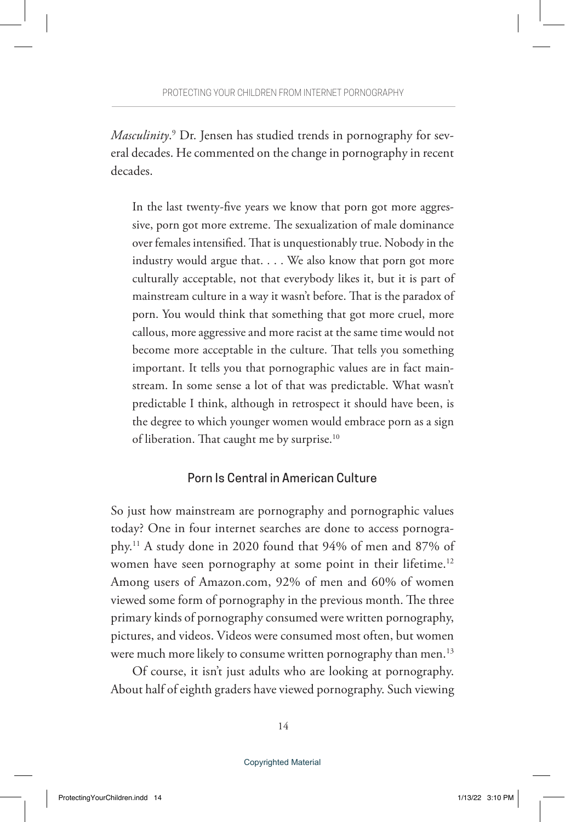*Masculinity*. 9 Dr. Jensen has studied trends in pornography for several decades. He commented on the change in pornography in recent decades.

In the last twenty-five years we know that porn got more aggressive, porn got more extreme. The sexualization of male dominance over females intensified. That is unquestionably true. Nobody in the industry would argue that. . . . We also know that porn got more culturally acceptable, not that everybody likes it, but it is part of mainstream culture in a way it wasn't before. That is the paradox of porn. You would think that something that got more cruel, more callous, more aggressive and more racist at the same time would not become more acceptable in the culture. That tells you something important. It tells you that pornographic values are in fact mainstream. In some sense a lot of that was predictable. What wasn't predictable I think, although in retrospect it should have been, is the degree to which younger women would embrace porn as a sign of liberation. That caught me by surprise.<sup>10</sup>

#### Porn Is Central in American Culture

So just how mainstream are pornography and pornographic values today? One in four internet searches are done to access pornography.11 A study done in 2020 found that 94% of men and 87% of women have seen pornography at some point in their lifetime.<sup>12</sup> Among users of Amazon.com, 92% of men and 60% of women viewed some form of pornography in the previous month. The three primary kinds of pornography consumed were written pornography, pictures, and videos. Videos were consumed most often, but women were much more likely to consume written pornography than men.<sup>13</sup>

Of course, it isn't just adults who are looking at pornography. About half of eighth graders have viewed pornography. Such viewing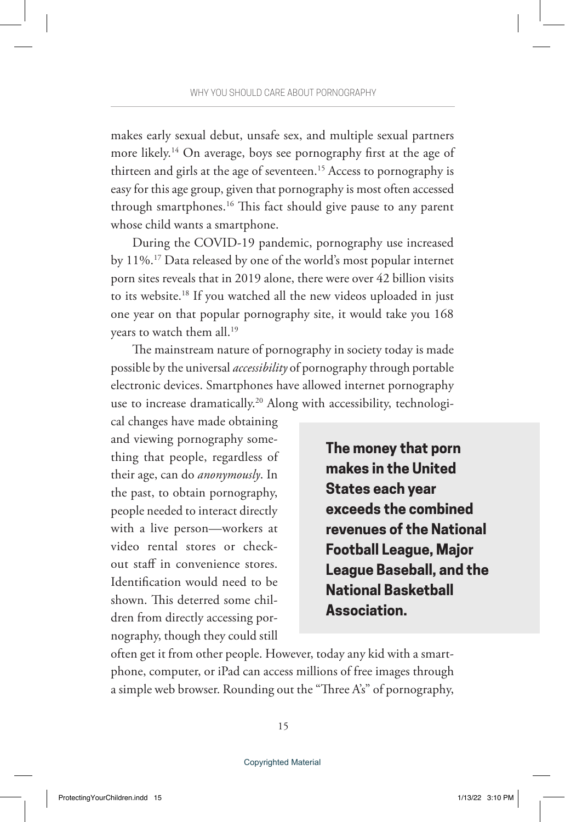makes early sexual debut, unsafe sex, and multiple sexual partners more likely.14 On average, boys see pornography first at the age of thirteen and girls at the age of seventeen.<sup>15</sup> Access to pornography is easy for this age group, given that pornography is most often accessed through smartphones.16 This fact should give pause to any parent whose child wants a smartphone.

During the COVID-19 pandemic, pornography use increased by 11%.17 Data released by one of the world's most popular internet porn sites reveals that in 2019 alone, there were over 42 billion visits to its website.18 If you watched all the new videos uploaded in just one year on that popular pornography site, it would take you 168 years to watch them all.19

The mainstream nature of pornography in society today is made possible by the universal *accessibility* of pornography through portable electronic devices. Smartphones have allowed internet pornography use to increase dramatically.20 Along with accessibility, technologi-

cal changes have made obtaining and viewing pornography something that people, regardless of their age, can do *anonymously*. In the past, to obtain pornography, people needed to interact directly with a live person—workers at video rental stores or checkout staff in convenience stores. Identification would need to be shown. This deterred some children from directly accessing pornography, though they could still

**The money that porn makes in the United States each year exceeds the combined revenues of the National Football League, Major League Baseball, and the National Basketball Association.**

often get it from other people. However, today any kid with a smartphone, computer, or iPad can access millions of free images through a simple web browser. Rounding out the "Three A's" of pornography,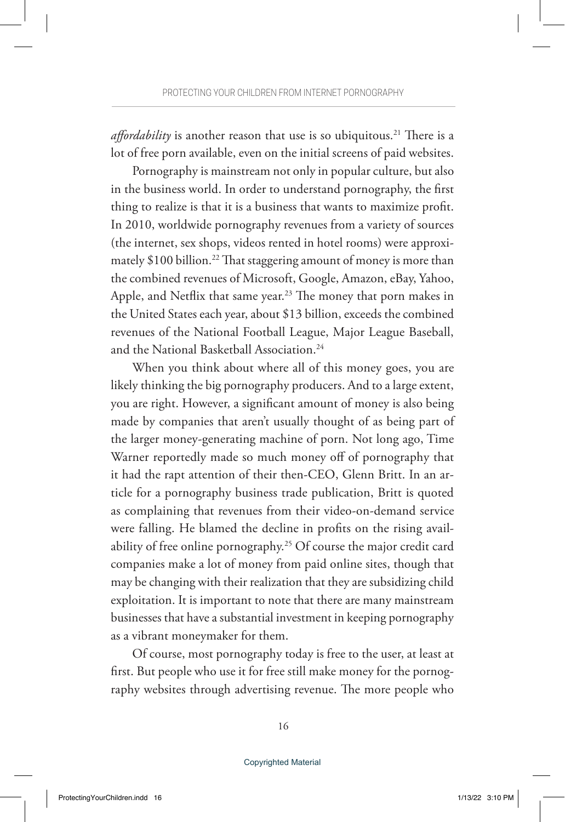*affordability* is another reason that use is so ubiquitous.<sup>21</sup> There is a lot of free porn available, even on the initial screens of paid websites.

Pornography is mainstream not only in popular culture, but also in the business world. In order to understand pornography, the first thing to realize is that it is a business that wants to maximize profit. In 2010, worldwide pornography revenues from a variety of sources (the internet, sex shops, videos rented in hotel rooms) were approximately \$100 billion.22 That staggering amount of money is more than the combined revenues of Microsoft, Google, Amazon, eBay, Yahoo, Apple, and Netflix that same year.<sup>23</sup> The money that porn makes in the United States each year, about \$13 billion, exceeds the combined revenues of the National Football League, Major League Baseball, and the National Basketball Association.24

When you think about where all of this money goes, you are likely thinking the big pornography producers. And to a large extent, you are right. However, a significant amount of money is also being made by companies that aren't usually thought of as being part of the larger money-generating machine of porn. Not long ago, Time Warner reportedly made so much money off of pornography that it had the rapt attention of their then-CEO, Glenn Britt. In an article for a pornography business trade publication, Britt is quoted as complaining that revenues from their video-on-demand service were falling. He blamed the decline in profits on the rising availability of free online pornography.<sup>25</sup> Of course the major credit card companies make a lot of money from paid online sites, though that may be changing with their realization that they are subsidizing child exploitation. It is important to note that there are many mainstream businesses that have a substantial investment in keeping pornography as a vibrant moneymaker for them.

Of course, most pornography today is free to the user, at least at first. But people who use it for free still make money for the pornography websites through advertising revenue. The more people who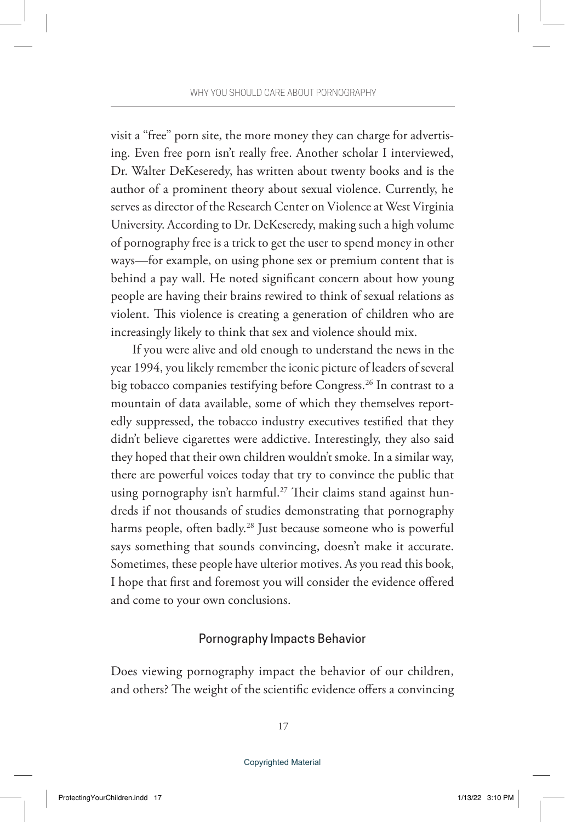visit a "free" porn site, the more money they can charge for advertising. Even free porn isn't really free. Another scholar I interviewed, Dr. Walter DeKeseredy, has written about twenty books and is the author of a prominent theory about sexual violence. Currently, he serves as director of the Research Center on Violence at West Virginia University. According to Dr. DeKeseredy, making such a high volume of pornography free is a trick to get the user to spend money in other ways—for example, on using phone sex or premium content that is behind a pay wall. He noted significant concern about how young people are having their brains rewired to think of sexual relations as violent. This violence is creating a generation of children who are increasingly likely to think that sex and violence should mix.

If you were alive and old enough to understand the news in the year 1994, you likely remember the iconic picture of leaders of several big tobacco companies testifying before Congress.26 In contrast to a mountain of data available, some of which they themselves reportedly suppressed, the tobacco industry executives testified that they didn't believe cigarettes were addictive. Interestingly, they also said they hoped that their own children wouldn't smoke. In a similar way, there are powerful voices today that try to convince the public that using pornography isn't harmful.<sup>27</sup> Their claims stand against hundreds if not thousands of studies demonstrating that pornography harms people, often badly.<sup>28</sup> Just because someone who is powerful says something that sounds convincing, doesn't make it accurate. Sometimes, these people have ulterior motives. As you read this book, I hope that first and foremost you will consider the evidence offered and come to your own conclusions.

#### Pornography Impacts Behavior

Does viewing pornography impact the behavior of our children, and others? The weight of the scientific evidence offers a convincing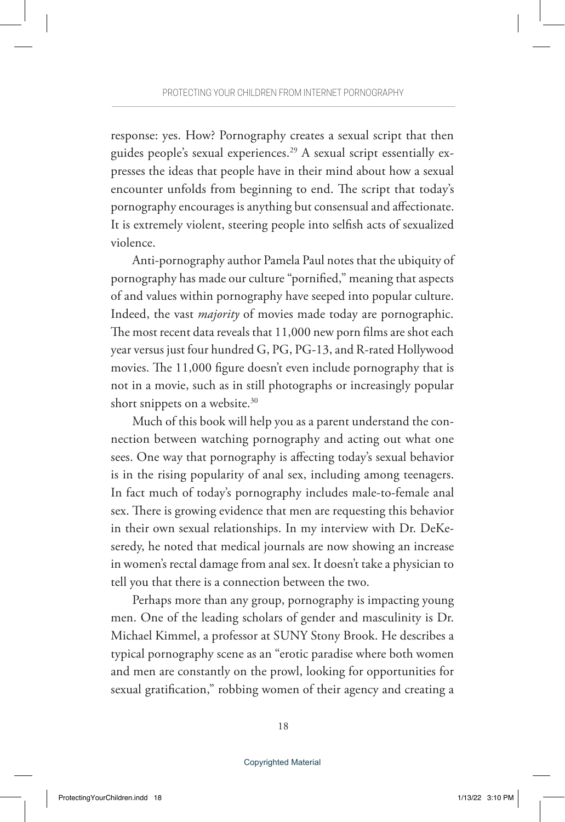response: yes. How? Pornography creates a sexual script that then guides people's sexual experiences.29 A sexual script essentially expresses the ideas that people have in their mind about how a sexual encounter unfolds from beginning to end. The script that today's pornography encourages is anything but consensual and affectionate. It is extremely violent, steering people into selfish acts of sexualized violence.

Anti-pornography author Pamela Paul notes that the ubiquity of pornography has made our culture "pornified," meaning that aspects of and values within pornography have seeped into popular culture. Indeed, the vast *majority* of movies made today are pornographic. The most recent data reveals that 11,000 new porn films are shot each year versus just four hundred G, PG, PG-13, and R-rated Hollywood movies. The 11,000 figure doesn't even include pornography that is not in a movie, such as in still photographs or increasingly popular short snippets on a website.<sup>30</sup>

Much of this book will help you as a parent understand the connection between watching pornography and acting out what one sees. One way that pornography is affecting today's sexual behavior is in the rising popularity of anal sex, including among teenagers. In fact much of today's pornography includes male-to-female anal sex. There is growing evidence that men are requesting this behavior in their own sexual relationships. In my interview with Dr. DeKeseredy, he noted that medical journals are now showing an increase in women's rectal damage from anal sex. It doesn't take a physician to tell you that there is a connection between the two.

Perhaps more than any group, pornography is impacting young men. One of the leading scholars of gender and masculinity is Dr. Michael Kimmel, a professor at SUNY Stony Brook. He describes a typical pornography scene as an "erotic paradise where both women and men are constantly on the prowl, looking for opportunities for sexual gratification," robbing women of their agency and creating a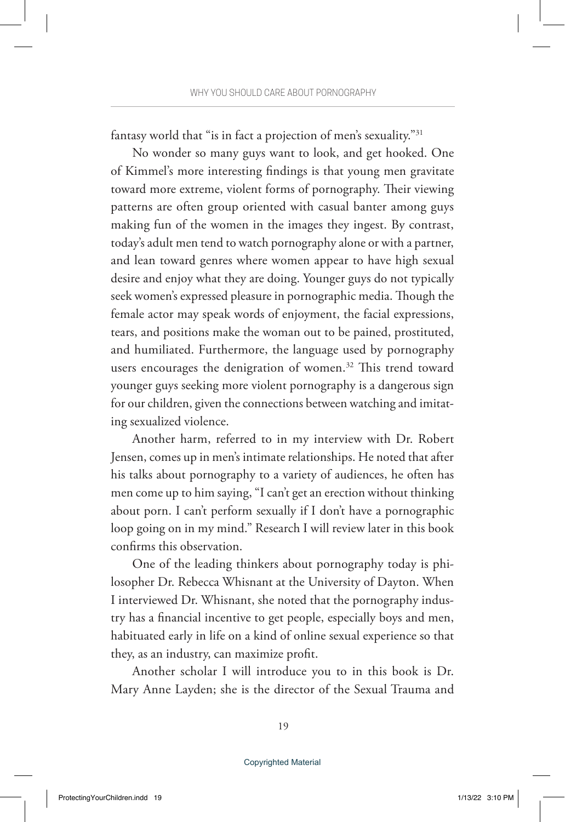fantasy world that "is in fact a projection of men's sexuality."31

No wonder so many guys want to look, and get hooked. One of Kimmel's more interesting findings is that young men gravitate toward more extreme, violent forms of pornography. Their viewing patterns are often group oriented with casual banter among guys making fun of the women in the images they ingest. By contrast, today's adult men tend to watch pornography alone or with a partner, and lean toward genres where women appear to have high sexual desire and enjoy what they are doing. Younger guys do not typically seek women's expressed pleasure in pornographic media. Though the female actor may speak words of enjoyment, the facial expressions, tears, and positions make the woman out to be pained, prostituted, and humiliated. Furthermore, the language used by pornography users encourages the denigration of women.<sup>32</sup> This trend toward younger guys seeking more violent pornography is a dangerous sign for our children, given the connections between watching and imitating sexualized violence.

Another harm, referred to in my interview with Dr. Robert Jensen, comes up in men's intimate relationships. He noted that after his talks about pornography to a variety of audiences, he often has men come up to him saying, "I can't get an erection without thinking about porn. I can't perform sexually if I don't have a pornographic loop going on in my mind." Research I will review later in this book confirms this observation.

One of the leading thinkers about pornography today is philosopher Dr. Rebecca Whisnant at the University of Dayton. When I interviewed Dr. Whisnant, she noted that the pornography industry has a financial incentive to get people, especially boys and men, habituated early in life on a kind of online sexual experience so that they, as an industry, can maximize profit.

Another scholar I will introduce you to in this book is Dr. Mary Anne Layden; she is the director of the Sexual Trauma and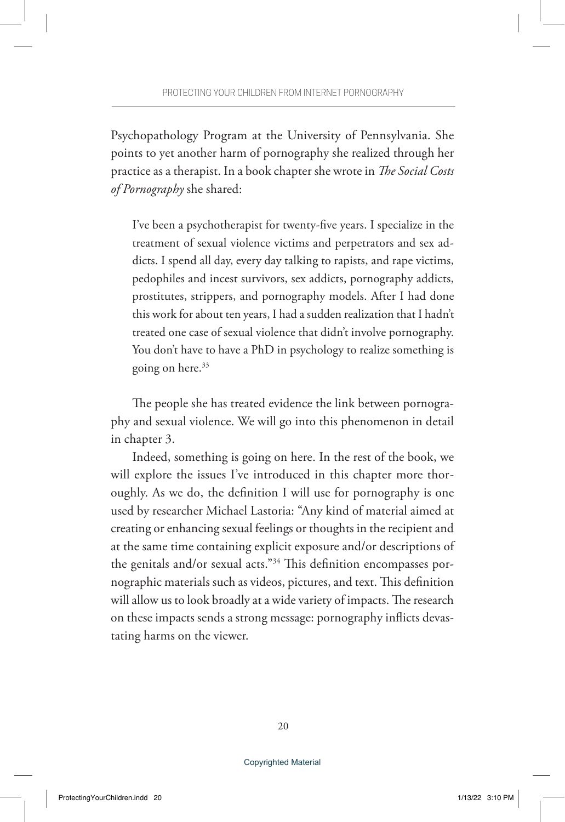Psychopathology Program at the University of Pennsylvania. She points to yet another harm of pornography she realized through her practice as a therapist. In a book chapter she wrote in *The Social Costs of Pornography* she shared:

I've been a psychotherapist for twenty-five years. I specialize in the treatment of sexual violence victims and perpetrators and sex addicts. I spend all day, every day talking to rapists, and rape victims, pedophiles and incest survivors, sex addicts, pornography addicts, prostitutes, strippers, and pornography models. After I had done this work for about ten years, I had a sudden realization that I hadn't treated one case of sexual violence that didn't involve pornography. You don't have to have a PhD in psychology to realize something is going on here.<sup>33</sup>

The people she has treated evidence the link between pornography and sexual violence. We will go into this phenomenon in detail in chapter 3.

Indeed, something is going on here. In the rest of the book, we will explore the issues I've introduced in this chapter more thoroughly. As we do, the definition I will use for pornography is one used by researcher Michael Lastoria: "Any kind of material aimed at creating or enhancing sexual feelings or thoughts in the recipient and at the same time containing explicit exposure and/or descriptions of the genitals and/or sexual acts."34 This definition encompasses pornographic materials such as videos, pictures, and text. This definition will allow us to look broadly at a wide variety of impacts. The research on these impacts sends a strong message: pornography inflicts devastating harms on the viewer.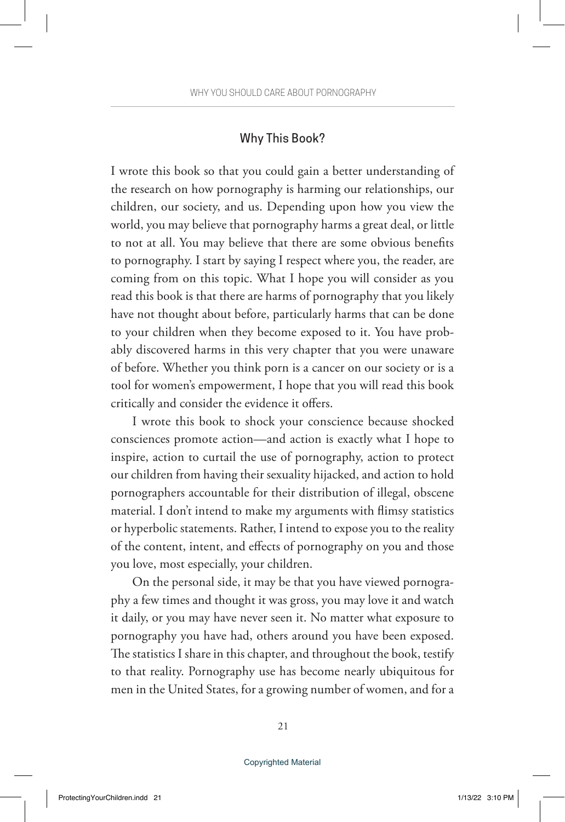#### Why This Book?

I wrote this book so that you could gain a better understanding of the research on how pornography is harming our relationships, our children, our society, and us. Depending upon how you view the world, you may believe that pornography harms a great deal, or little to not at all. You may believe that there are some obvious benefits to pornography. I start by saying I respect where you, the reader, are coming from on this topic. What I hope you will consider as you read this book is that there are harms of pornography that you likely have not thought about before, particularly harms that can be done to your children when they become exposed to it. You have probably discovered harms in this very chapter that you were unaware of before. Whether you think porn is a cancer on our society or is a tool for women's empowerment, I hope that you will read this book critically and consider the evidence it offers.

I wrote this book to shock your conscience because shocked consciences promote action—and action is exactly what I hope to inspire, action to curtail the use of pornography, action to protect our children from having their sexuality hijacked, and action to hold pornographers accountable for their distribution of illegal, obscene material. I don't intend to make my arguments with flimsy statistics or hyperbolic statements. Rather, I intend to expose you to the reality of the content, intent, and effects of pornography on you and those you love, most especially, your children.

On the personal side, it may be that you have viewed pornography a few times and thought it was gross, you may love it and watch it daily, or you may have never seen it. No matter what exposure to pornography you have had, others around you have been exposed. The statistics I share in this chapter, and throughout the book, testify to that reality. Pornography use has become nearly ubiquitous for men in the United States, for a growing number of women, and for a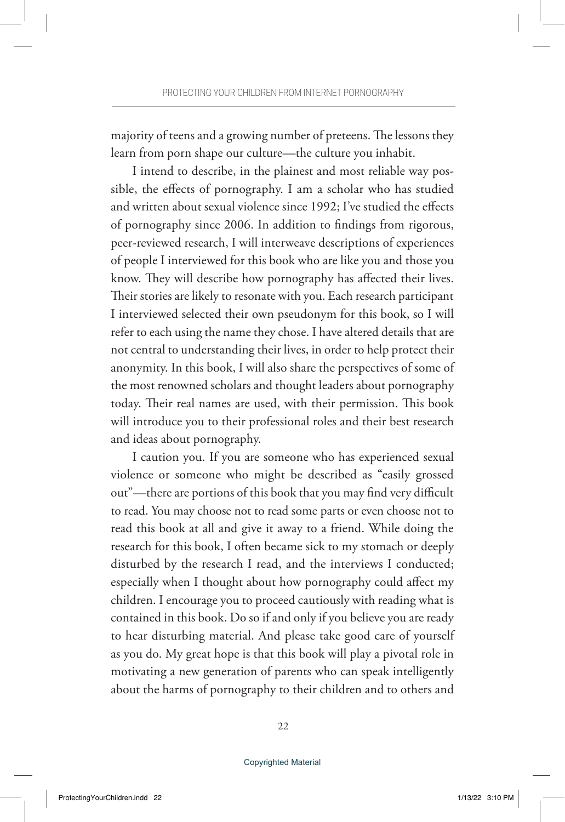majority of teens and a growing number of preteens. The lessons they learn from porn shape our culture—the culture you inhabit.

I intend to describe, in the plainest and most reliable way possible, the effects of pornography. I am a scholar who has studied and written about sexual violence since 1992; I've studied the effects of pornography since 2006. In addition to findings from rigorous, peer-reviewed research, I will interweave descriptions of experiences of people I interviewed for this book who are like you and those you know. They will describe how pornography has affected their lives. Their stories are likely to resonate with you. Each research participant I interviewed selected their own pseudonym for this book, so I will refer to each using the name they chose. I have altered details that are not central to understanding their lives, in order to help protect their anonymity. In this book, I will also share the perspectives of some of the most renowned scholars and thought leaders about pornography today. Their real names are used, with their permission. This book will introduce you to their professional roles and their best research and ideas about pornography.

I caution you. If you are someone who has experienced sexual violence or someone who might be described as "easily grossed out"—there are portions of this book that you may find very difficult to read. You may choose not to read some parts or even choose not to read this book at all and give it away to a friend. While doing the research for this book, I often became sick to my stomach or deeply disturbed by the research I read, and the interviews I conducted; especially when I thought about how pornography could affect my children. I encourage you to proceed cautiously with reading what is contained in this book. Do so if and only if you believe you are ready to hear disturbing material. And please take good care of yourself as you do. My great hope is that this book will play a pivotal role in motivating a new generation of parents who can speak intelligently about the harms of pornography to their children and to others and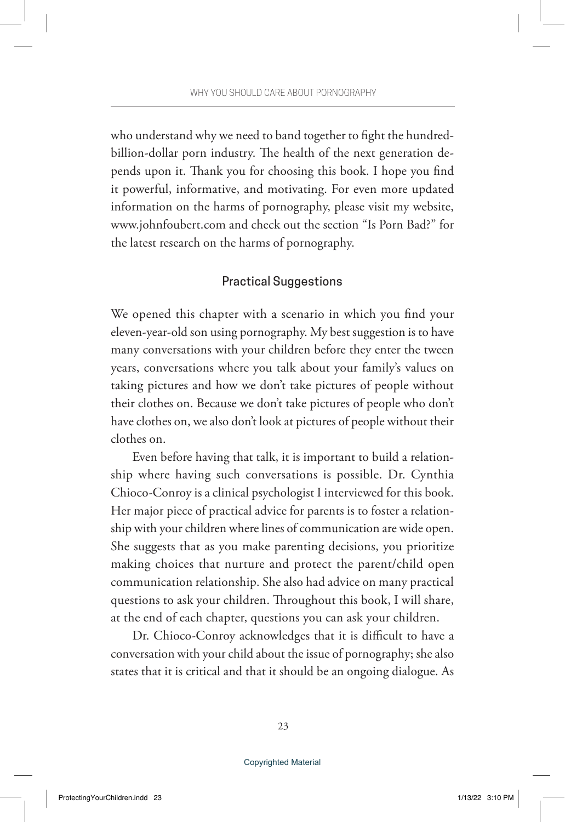who understand why we need to band together to fight the hundredbillion-dollar porn industry. The health of the next generation depends upon it. Thank you for choosing this book. I hope you find it powerful, informative, and motivating. For even more updated information on the harms of pornography, please visit my website, www.johnfoubert.com and check out the section "Is Porn Bad?" for the latest research on the harms of pornography.

#### Practical Suggestions

We opened this chapter with a scenario in which you find your eleven-year-old son using pornography. My best suggestion is to have many conversations with your children before they enter the tween years, conversations where you talk about your family's values on taking pictures and how we don't take pictures of people without their clothes on. Because we don't take pictures of people who don't have clothes on, we also don't look at pictures of people without their clothes on.

Even before having that talk, it is important to build a relationship where having such conversations is possible. Dr. Cynthia Chioco-Conroy is a clinical psychologist I interviewed for this book. Her major piece of practical advice for parents is to foster a relationship with your children where lines of communication are wide open. She suggests that as you make parenting decisions, you prioritize making choices that nurture and protect the parent/child open communication relationship. She also had advice on many practical questions to ask your children. Throughout this book, I will share, at the end of each chapter, questions you can ask your children.

Dr. Chioco-Conroy acknowledges that it is difficult to have a conversation with your child about the issue of pornography; she also states that it is critical and that it should be an ongoing dialogue. As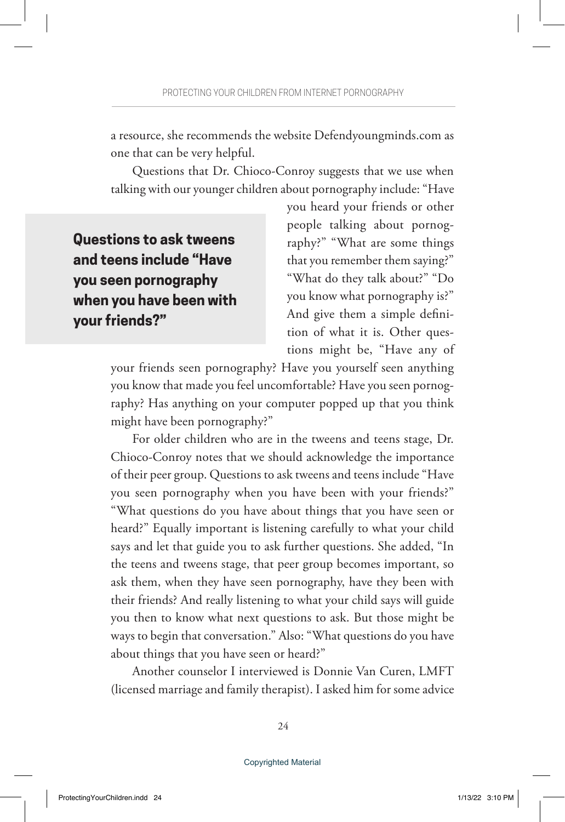a resource, she recommends the website Defendyoungminds.com as one that can be very helpful.

Questions that Dr. Chioco-Conroy suggests that we use when talking with our younger children about pornography include: "Have

**Questions to ask tweens and teens include "Have you seen pornography when you have been with your friends?"**

you heard your friends or other people talking about pornography?" "What are some things that you remember them saying?" "What do they talk about?" "Do you know what pornography is?" And give them a simple definition of what it is. Other questions might be, "Have any of

your friends seen pornography? Have you yourself seen anything you know that made you feel uncomfortable? Have you seen pornography? Has anything on your computer popped up that you think might have been pornography?"

For older children who are in the tweens and teens stage, Dr. Chioco-Conroy notes that we should acknowledge the importance of their peer group. Questions to ask tweens and teens include "Have you seen pornography when you have been with your friends?" "What questions do you have about things that you have seen or heard?" Equally important is listening carefully to what your child says and let that guide you to ask further questions. She added, "In the teens and tweens stage, that peer group becomes important, so ask them, when they have seen pornography, have they been with their friends? And really listening to what your child says will guide you then to know what next questions to ask. But those might be ways to begin that conversation." Also: "What questions do you have about things that you have seen or heard?"

Another counselor I interviewed is Donnie Van Curen, LMFT (licensed marriage and family therapist). I asked him for some advice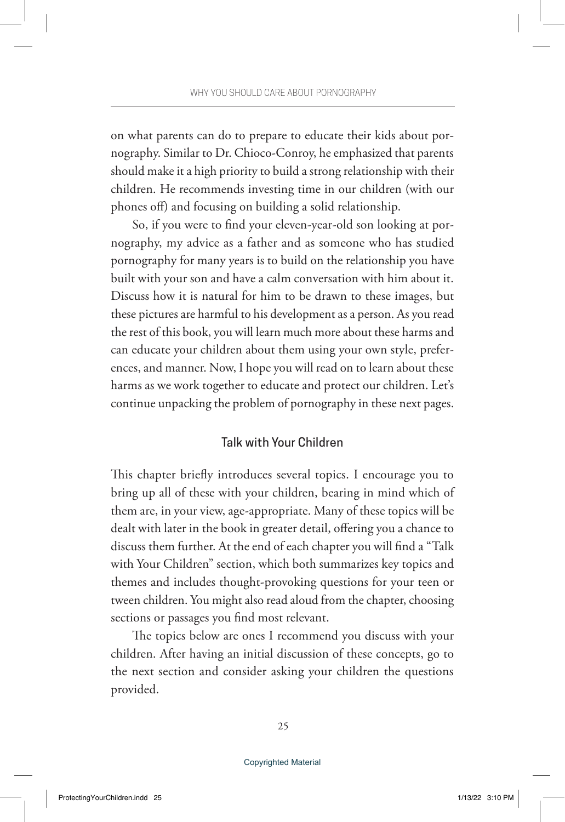on what parents can do to prepare to educate their kids about pornography. Similar to Dr. Chioco-Conroy, he emphasized that parents should make it a high priority to build a strong relationship with their children. He recommends investing time in our children (with our phones off) and focusing on building a solid relationship.

So, if you were to find your eleven-year-old son looking at pornography, my advice as a father and as someone who has studied pornography for many years is to build on the relationship you have built with your son and have a calm conversation with him about it. Discuss how it is natural for him to be drawn to these images, but these pictures are harmful to his development as a person. As you read the rest of this book, you will learn much more about these harms and can educate your children about them using your own style, preferences, and manner. Now, I hope you will read on to learn about these harms as we work together to educate and protect our children. Let's continue unpacking the problem of pornography in these next pages.

#### Talk with Your Children

This chapter briefly introduces several topics. I encourage you to bring up all of these with your children, bearing in mind which of them are, in your view, age-appropriate. Many of these topics will be dealt with later in the book in greater detail, offering you a chance to discuss them further. At the end of each chapter you will find a "Talk with Your Children" section, which both summarizes key topics and themes and includes thought-provoking questions for your teen or tween children. You might also read aloud from the chapter, choosing sections or passages you find most relevant.

The topics below are ones I recommend you discuss with your children. After having an initial discussion of these concepts, go to the next section and consider asking your children the questions provided.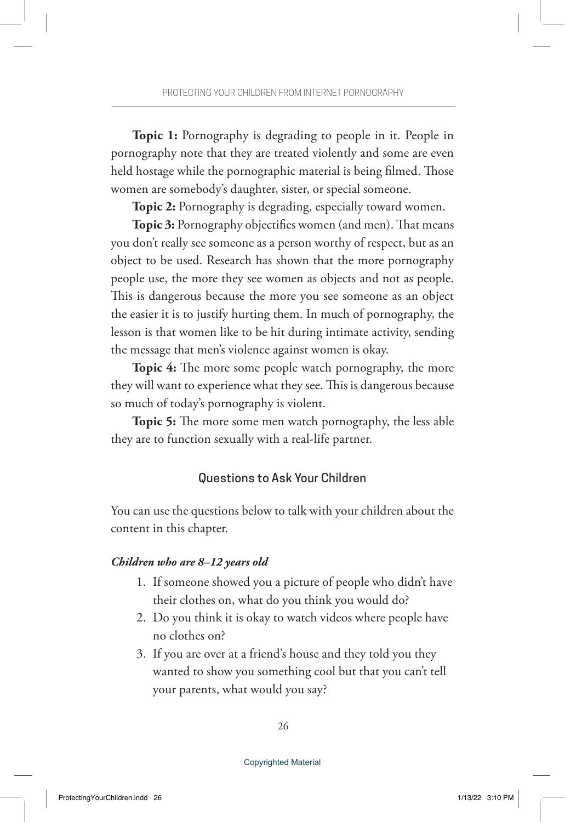**Topic 1:** Pornography is degrading to people in it. People in pornography note that they are treated violently and some are even held hostage while the pornographic material is being filmed. Those women are somebody's daughter, sister, or special someone.

**Topic 2:** Pornography is degrading, especially toward women.

**Topic 3:** Pornography objectifies women (and men). That means you don't really see someone as a person worthy of respect, but as an object to be used. Research has shown that the more pornography people use, the more they see women as objects and not as people. This is dangerous because the more you see someone as an object the easier it is to justify hurting them. In much of pornography, the lesson is that women like to be hit during intimate activity, sending the message that men's violence against women is okay.

**Topic 4:** The more some people watch pornography, the more they will want to experience what they see. This is dangerous because so much of today's pornography is violent.

**Topic 5:** The more some men watch pornography, the less able they are to function sexually with a real-life partner.

#### Questions to Ask Your Children

You can use the questions below to talk with your children about the content in this chapter.

#### *Children who are 8–12 years old*

- 1. If someone showed you a picture of people who didn't have their clothes on, what do you think you would do?
- 2. Do you think it is okay to watch videos where people have no clothes on?
- 3. If you are over at a friend's house and they told you they wanted to show you something cool but that you can't tell your parents, what would you say?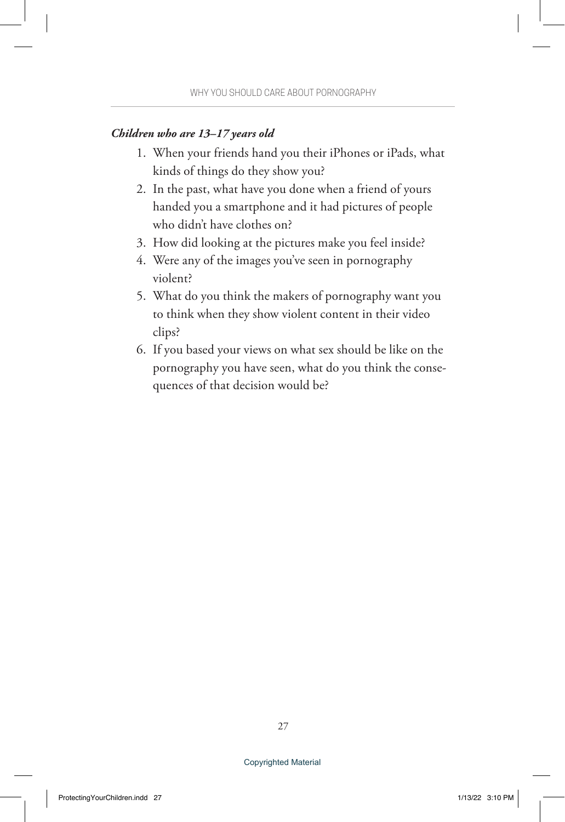#### *Children who are 13–17 years old*

- 1. When your friends hand you their iPhones or iPads, what kinds of things do they show you?
- 2. In the past, what have you done when a friend of yours handed you a smartphone and it had pictures of people who didn't have clothes on?
- 3. How did looking at the pictures make you feel inside?
- 4. Were any of the images you've seen in pornography violent?
- 5. What do you think the makers of pornography want you to think when they show violent content in their video clips?
- 6. If you based your views on what sex should be like on the pornography you have seen, what do you think the consequences of that decision would be?